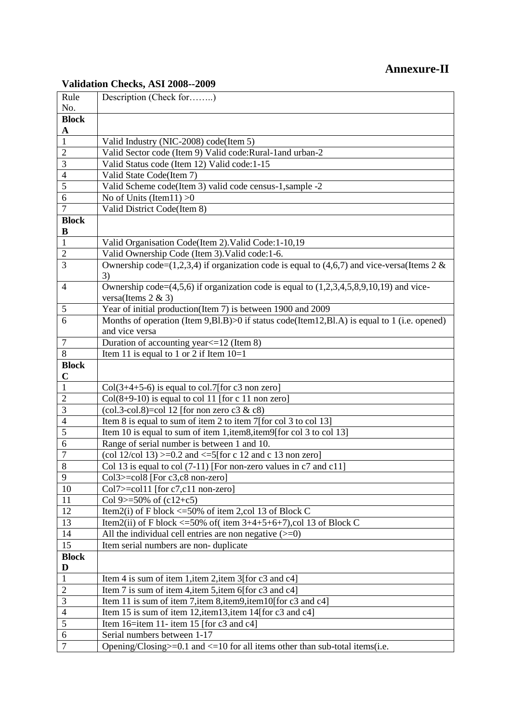# **Annexure-II**

# **Validation Checks, ASI 2008--2009**

| Rule              | Description (Check for)                                                                            |
|-------------------|----------------------------------------------------------------------------------------------------|
| No.               |                                                                                                    |
| <b>Block</b>      |                                                                                                    |
| $\mathbf A$       |                                                                                                    |
| $\mathbf{1}$      | Valid Industry (NIC-2008) code(Item 5)                                                             |
| $\sqrt{2}$        | Valid Sector code (Item 9) Valid code: Rural-1 and urban-2                                         |
| $\overline{3}$    | Valid Status code (Item 12) Valid code:1-15                                                        |
| $\overline{4}$    | Valid State Code(Item 7)                                                                           |
| $\overline{5}$    | Valid Scheme code(Item 3) valid code census-1, sample -2                                           |
| $\boldsymbol{6}$  | No of Units (Item11) $>0$                                                                          |
| $\overline{7}$    | Valid District Code(Item 8)                                                                        |
| <b>Block</b><br>B |                                                                                                    |
| $\mathbf{1}$      | Valid Organisation Code(Item 2). Valid Code: 1-10,19                                               |
| $\overline{2}$    | Valid Ownership Code (Item 3). Valid code: 1-6.                                                    |
| 3                 | Ownership code= $(1,2,3,4)$ if organization code is equal to $(4,6,7)$ and vice-versa(Items 2 &    |
|                   | 3)                                                                                                 |
| $\overline{4}$    | Ownership code= $(4,5,6)$ if organization code is equal to $(1,2,3,4,5,8,9,10,19)$ and vice-       |
|                   | versa(Items $2 & 3$ )                                                                              |
| 5                 | Year of initial production(Item 7) is between 1900 and 2009                                        |
| 6                 | Months of operation (Item 9, Bl. B) > 0 if status code(Item 12, Bl. A) is equal to 1 (i.e. opened) |
|                   | and vice versa                                                                                     |
| $\boldsymbol{7}$  | Duration of accounting year <= 12 (Item 8)                                                         |
| $8\,$             | Item 11 is equal to 1 or 2 if Item $10=1$                                                          |
| <b>Block</b>      |                                                                                                    |
| $\mathbf C$       |                                                                                                    |
| $\mathbf{1}$      | $Col(3+4+5-6)$ is equal to col.7[for c3 non zero]                                                  |
| $\overline{2}$    | $Col(8+9-10)$ is equal to col 11 [for c 11 non zero]                                               |
| 3                 | $\text{(col.3-col.8)}\text{=col 12 [for non zero c3 & c8)}$                                        |
| $\overline{4}$    | Item 8 is equal to sum of item 2 to item 7 [for col 3 to col 13]                                   |
| 5                 | Item 10 is equal to sum of item 1, item 8, item 9 [for col 3 to col 13]                            |
| 6                 | Range of serial number is between 1 and 10.                                                        |
| $\overline{7}$    | (col 12/col 13) $>= 0.2$ and $\leq 5$ [for c 12 and c 13 non zero]                                 |
| 8                 | Col 13 is equal to col $(7-11)$ [For non-zero values in c7 and c11]                                |
| 9                 | Col3>=col8 [For $c3,c8$ non-zero]                                                                  |
| 10                | Col7>=col11 [for $c7$ , $c11$ non-zero]                                                            |
| 11                | Col 9>=50% of $(c12+c5)$                                                                           |
| 12                | Item2(i) of F block $\leq$ =50% of item 2,col 13 of Block C                                        |
| 13                | Item2(ii) of F block <= 50% of (item 3+4+5+6+7), col 13 of Block C                                 |
| 14                | All the individual cell entries are non negative $(>=0)$                                           |
| 15                | Item serial numbers are non-duplicate                                                              |
| <b>Block</b>      |                                                                                                    |
| D                 |                                                                                                    |
| $\mathbf{1}$      | Item 4 is sum of item 1, item 2, item 3 [for c3 and c4]                                            |
| $\sqrt{2}$        | Item 7 is sum of item 4, item 5, item 6 [for c3 and c4]                                            |
| $\overline{3}$    | Item 11 is sum of item 7, item 8, item 9, item 10 [for c3 and c4]                                  |
| $\overline{4}$    | Item 15 is sum of item 12, item 13, item 14 [for c3 and c4]                                        |
| $\overline{5}$    | Item $16$ =item 11- item 15 [for c3 and c4]                                                        |
| 6                 | Serial numbers between 1-17                                                                        |
| $\overline{7}$    | Opening/Closing>=0.1 and $\leq$ =10 for all items other than sub-total items(i.e.                  |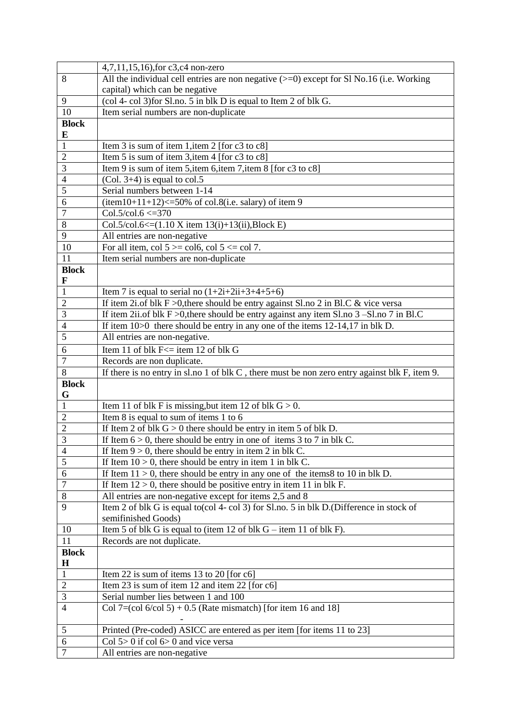|                                | $4,7,11,15,16$ , for c3, c4 non-zero                                                                                  |
|--------------------------------|-----------------------------------------------------------------------------------------------------------------------|
| 8                              | All the individual cell entries are non negative $(>=0)$ except for Sl No.16 (i.e. Working                            |
|                                | capital) which can be negative                                                                                        |
| 9                              | (col 4- col 3) for Sl.no. 5 in blk D is equal to Item 2 of blk G.                                                     |
| $\overline{10}$                | Item serial numbers are non-duplicate                                                                                 |
| <b>Block</b>                   |                                                                                                                       |
| E                              |                                                                                                                       |
| $\mathbf{1}$<br>$\overline{2}$ | Item 3 is sum of item 1, item 2 [for $c3$ to $c8$ ]                                                                   |
| 3                              | Item 5 is sum of item 3, item 4 [for $c3$ to $c8$ ]<br>Item 9 is sum of item 5, item 6, item 7, item 8 [for c3 to c8] |
| $\overline{4}$                 | $(Col. 3+4)$ is equal to col.5                                                                                        |
| 5                              | Serial numbers between 1-14                                                                                           |
| 6                              | (item10+11+12) <= 50% of col.8(i.e. salary) of item 9                                                                 |
| $\overline{7}$                 | $Col.5/col.6 \le 370$                                                                                                 |
| $8\,$                          | Col.5/col.6<= $(1.10 \text{ X item } 13(i)+13(ii)$ , Block E)                                                         |
| 9                              | All entries are non-negative                                                                                          |
| 10                             | For all item, col $5 \ge \text{col6}$ , col $5 \le \text{col 7}$ .                                                    |
| 11                             | Item serial numbers are non-duplicate                                                                                 |
| <b>Block</b>                   |                                                                                                                       |
| $\mathbf F$                    |                                                                                                                       |
| $\mathbf{1}$                   | Item 7 is equal to serial no $(1+2i+2i+3+4+5+6)$                                                                      |
| $\overline{2}$                 | If item 2i.of blk $F > 0$ , there should be entry against Sl. no 2 in Bl. C & vice versa                              |
| 3                              | If item 2ii.of blk $F > 0$ , there should be entry against any item Sl.no $3 -$ Sl.no $7$ in Bl.C                     |
| $\overline{4}$                 | If item $10>0$ there should be entry in any one of the items $12-14$ , 17 in blk D.                                   |
| $\overline{5}$                 | All entries are non-negative.                                                                                         |
| 6                              | Item 11 of blk $F \le$ item 12 of blk G                                                                               |
| $\overline{7}$                 | Records are non duplicate.                                                                                            |
| $8\,$                          | If there is no entry in sl.no 1 of blk C, there must be non zero entry against blk F, item 9.                         |
| <b>Block</b>                   |                                                                                                                       |
| G<br>$\mathbf{1}$              | Item 11 of blk F is missing, but item 12 of blk $G > 0$ .                                                             |
| 2                              | Item 8 is equal to sum of items 1 to 6                                                                                |
| $\overline{2}$                 | If Item 2 of blk $G > 0$ there should be entry in item 5 of blk D.                                                    |
| 3                              | If Item $6 > 0$ , there should be entry in one of items 3 to 7 in blk C.                                              |
| 4                              | If Item $9 > 0$ , there should be entry in item 2 in blk C.                                                           |
| $\overline{5}$                 | If Item $10 > 0$ , there should be entry in item 1 in blk C.                                                          |
| 6                              | If Item $11 > 0$ , there should be entry in any one of the items 8 to 10 in blk D.                                    |
| $\overline{7}$                 | If Item $12 > 0$ , there should be positive entry in item 11 in blk F.                                                |
| $8\,$                          | All entries are non-negative except for items 2,5 and 8                                                               |
| 9                              | Item 2 of blk G is equal to (col 4- col 3) for Sl.no. 5 in blk D. (Difference in stock of                             |
|                                | semifinished Goods)                                                                                                   |
| 10                             | Item 5 of blk G is equal to (item 12 of blk G – item 11 of blk F).                                                    |
| 11                             | Records are not duplicate.                                                                                            |
| <b>Block</b>                   |                                                                                                                       |
| $\mathbf H$<br>$\overline{1}$  |                                                                                                                       |
| $\overline{2}$                 | Item 22 is sum of items 13 to 20 [for $c6$ ]<br>Item 23 is sum of item 12 and item 22 [for c6]                        |
| $\mathfrak{Z}$                 | Serial number lies between 1 and 100                                                                                  |
| $\overline{4}$                 | Col 7=(col $6$ /col 5) + 0.5 (Rate mismatch) [for item 16 and 18]                                                     |
|                                |                                                                                                                       |
| $\mathfrak s$                  | Printed (Pre-coded) ASICC are entered as per item [for items 11 to 23]                                                |
| 6                              | Col $5 > 0$ if col $6 > 0$ and vice versa                                                                             |
| $\overline{7}$                 | All entries are non-negative                                                                                          |
|                                |                                                                                                                       |